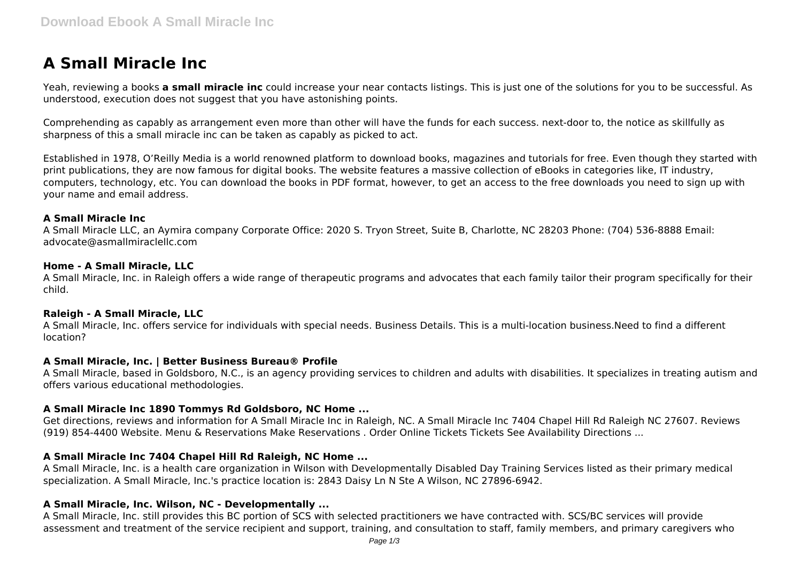# **A Small Miracle Inc**

Yeah, reviewing a books **a small miracle inc** could increase your near contacts listings. This is just one of the solutions for you to be successful. As understood, execution does not suggest that you have astonishing points.

Comprehending as capably as arrangement even more than other will have the funds for each success. next-door to, the notice as skillfully as sharpness of this a small miracle inc can be taken as capably as picked to act.

Established in 1978, O'Reilly Media is a world renowned platform to download books, magazines and tutorials for free. Even though they started with print publications, they are now famous for digital books. The website features a massive collection of eBooks in categories like, IT industry, computers, technology, etc. You can download the books in PDF format, however, to get an access to the free downloads you need to sign up with your name and email address.

### **A Small Miracle Inc**

A Small Miracle LLC, an Aymira company Corporate Office: 2020 S. Tryon Street, Suite B, Charlotte, NC 28203 Phone: (704) 536-8888 Email: advocate@asmallmiraclellc.com

#### **Home - A Small Miracle, LLC**

A Small Miracle, Inc. in Raleigh offers a wide range of therapeutic programs and advocates that each family tailor their program specifically for their child.

#### **Raleigh - A Small Miracle, LLC**

A Small Miracle, Inc. offers service for individuals with special needs. Business Details. This is a multi-location business.Need to find a different location?

### **A Small Miracle, Inc. | Better Business Bureau® Profile**

A Small Miracle, based in Goldsboro, N.C., is an agency providing services to children and adults with disabilities. It specializes in treating autism and offers various educational methodologies.

### **A Small Miracle Inc 1890 Tommys Rd Goldsboro, NC Home ...**

Get directions, reviews and information for A Small Miracle Inc in Raleigh, NC. A Small Miracle Inc 7404 Chapel Hill Rd Raleigh NC 27607. Reviews (919) 854-4400 Website. Menu & Reservations Make Reservations . Order Online Tickets Tickets See Availability Directions ...

### **A Small Miracle Inc 7404 Chapel Hill Rd Raleigh, NC Home ...**

A Small Miracle, Inc. is a health care organization in Wilson with Developmentally Disabled Day Training Services listed as their primary medical specialization. A Small Miracle, Inc.'s practice location is: 2843 Daisy Ln N Ste A Wilson, NC 27896-6942.

### **A Small Miracle, Inc. Wilson, NC - Developmentally ...**

A Small Miracle, Inc. still provides this BC portion of SCS with selected practitioners we have contracted with. SCS/BC services will provide assessment and treatment of the service recipient and support, training, and consultation to staff, family members, and primary caregivers who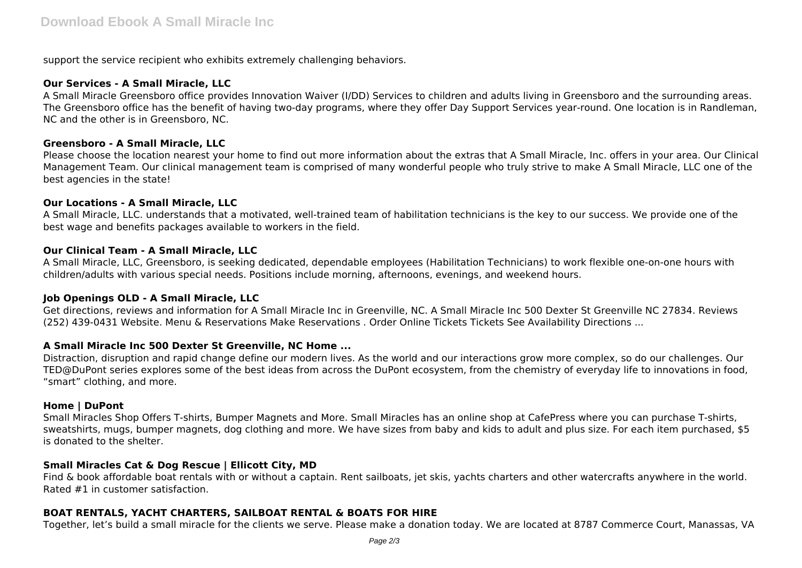support the service recipient who exhibits extremely challenging behaviors.

## **Our Services - A Small Miracle, LLC**

A Small Miracle Greensboro office provides Innovation Waiver (I/DD) Services to children and adults living in Greensboro and the surrounding areas. The Greensboro office has the benefit of having two-day programs, where they offer Day Support Services year-round. One location is in Randleman, NC and the other is in Greensboro, NC.

### **Greensboro - A Small Miracle, LLC**

Please choose the location nearest your home to find out more information about the extras that A Small Miracle, Inc. offers in your area. Our Clinical Management Team. Our clinical management team is comprised of many wonderful people who truly strive to make A Small Miracle, LLC one of the best agencies in the state!

### **Our Locations - A Small Miracle, LLC**

A Small Miracle, LLC. understands that a motivated, well-trained team of habilitation technicians is the key to our success. We provide one of the best wage and benefits packages available to workers in the field.

### **Our Clinical Team - A Small Miracle, LLC**

A Small Miracle, LLC, Greensboro, is seeking dedicated, dependable employees (Habilitation Technicians) to work flexible one-on-one hours with children/adults with various special needs. Positions include morning, afternoons, evenings, and weekend hours.

### **Job Openings OLD - A Small Miracle, LLC**

Get directions, reviews and information for A Small Miracle Inc in Greenville, NC. A Small Miracle Inc 500 Dexter St Greenville NC 27834. Reviews (252) 439-0431 Website. Menu & Reservations Make Reservations . Order Online Tickets Tickets See Availability Directions ...

### **A Small Miracle Inc 500 Dexter St Greenville, NC Home ...**

Distraction, disruption and rapid change define our modern lives. As the world and our interactions grow more complex, so do our challenges. Our TED@DuPont series explores some of the best ideas from across the DuPont ecosystem, from the chemistry of everyday life to innovations in food, "smart" clothing, and more.

### **Home | DuPont**

Small Miracles Shop Offers T-shirts, Bumper Magnets and More. Small Miracles has an online shop at CafePress where you can purchase T-shirts, sweatshirts, mugs, bumper magnets, dog clothing and more. We have sizes from baby and kids to adult and plus size. For each item purchased, \$5 is donated to the shelter.

### **Small Miracles Cat & Dog Rescue | Ellicott City, MD**

Find & book affordable boat rentals with or without a captain. Rent sailboats, jet skis, yachts charters and other watercrafts anywhere in the world. Rated #1 in customer satisfaction.

### **BOAT RENTALS, YACHT CHARTERS, SAILBOAT RENTAL & BOATS FOR HIRE**

Together, let's build a small miracle for the clients we serve. Please make a donation today. We are located at 8787 Commerce Court, Manassas, VA